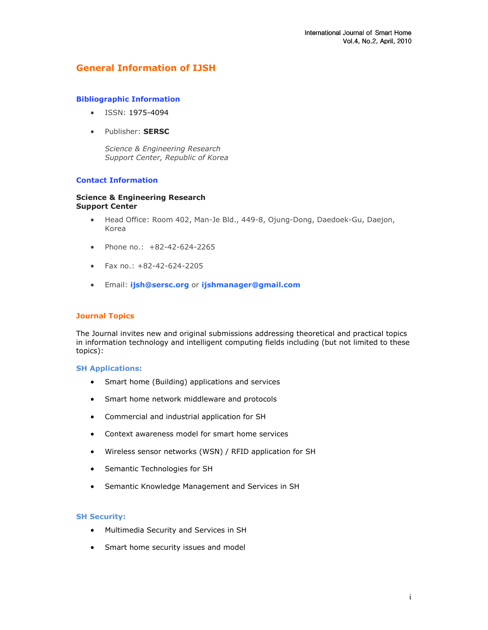# General Information of IJSH

### Bibliographic Information

- ISSN: 1975-4094
- Publisher: SERSC

Science & Engineering Research Support Center, Republic of Korea

# Contact Information

#### Science & Engineering Research Support Center

- Head Office: Room 402, Man-Je Bld., 449-8, Ojung-Dong, Daedoek-Gu, Daejon, Korea
- Phone no.: +82-42-624-2265
- Fax no.: +82-42-624-2205
- Email: ijsh@sersc.org or ijshmanager@gmail.com

## Journal Topics

The Journal invites new and original submissions addressing theoretical and practical topics in information technology and intelligent computing fields including (but not limited to these topics):

#### SH Applications:

- Smart home (Building) applications and services
- Smart home network middleware and protocols
- Commercial and industrial application for SH
- Context awareness model for smart home services
- Wireless sensor networks (WSN) / RFID application for SH
- Semantic Technologies for SH
- Semantic Knowledge Management and Services in SH

#### SH Security:

- Multimedia Security and Services in SH
- Smart home security issues and model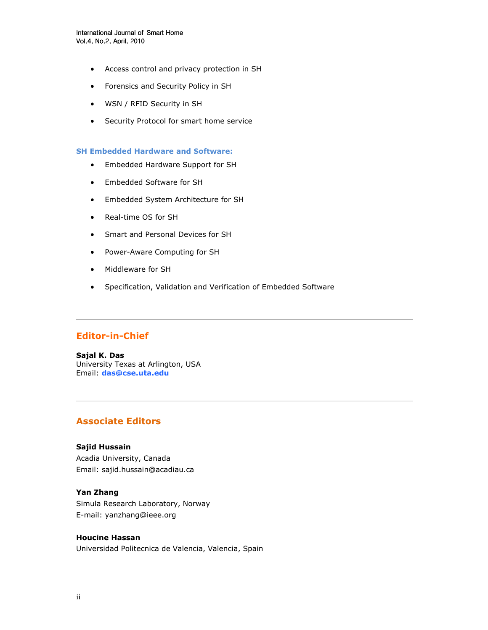- Access control and privacy protection in SH
- Forensics and Security Policy in SH
- WSN / RFID Security in SH
- Security Protocol for smart home service

#### SH Embedded Hardware and Software:

- Embedded Hardware Support for SH
- Embedded Software for SH
- Embedded System Architecture for SH
- Real-time OS for SH
- Smart and Personal Devices for SH
- Power-Aware Computing for SH
- Middleware for SH
- Specification, Validation and Verification of Embedded Software

# Editor-in-Chief

Sajal K. Das University Texas at Arlington, USA Email: das@cse.uta.edu

# Associate Editors

#### Sajid Hussain

Acadia University, Canada Email: sajid.hussain@acadiau.ca

# Yan Zhang

Simula Research Laboratory, Norway E-mail: yanzhang@ieee.org

### Houcine Hassan

Universidad Politecnica de Valencia, Valencia, Spain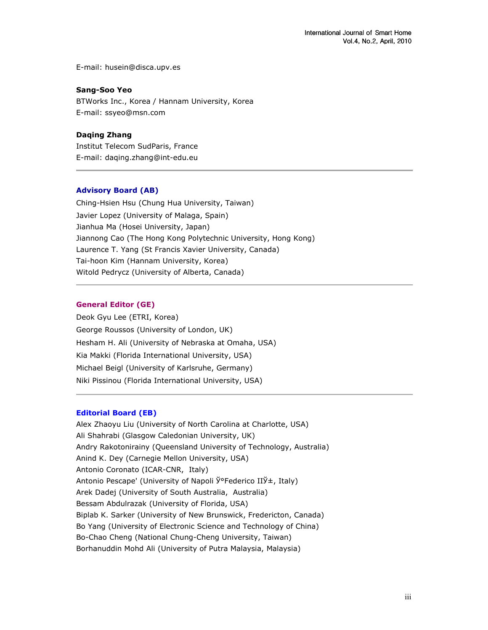E-mail: husein@disca.upv.es

#### Sang-Soo Yeo

BTWorks Inc., Korea / Hannam University, Korea E-mail: ssyeo@msn.com

# Daqing Zhang

Institut Telecom SudParis, France E-mail: daqing.zhang@int-edu.eu

### Advisory Board (AB)

Ching-Hsien Hsu (Chung Hua University, Taiwan) Javier Lopez (University of Malaga, Spain) Jianhua Ma (Hosei University, Japan) Jiannong Cao (The Hong Kong Polytechnic University, Hong Kong) Laurence T. Yang (St Francis Xavier University, Canada) Tai-hoon Kim (Hannam University, Korea) Witold Pedrycz (University of Alberta, Canada)

#### General Editor (GE)

Deok Gyu Lee (ETRI, Korea) George Roussos (University of London, UK) Hesham H. Ali (University of Nebraska at Omaha, USA) Kia Makki (Florida International University, USA) Michael Beigl (University of Karlsruhe, Germany) Niki Pissinou (Florida International University, USA)

#### Editorial Board (EB)

Alex Zhaoyu Liu (University of North Carolina at Charlotte, USA) Ali Shahrabi (Glasgow Caledonian University, UK) Andry Rakotonirainy (Queensland University of Technology, Australia) Anind K. Dey (Carnegie Mellon University, USA) Antonio Coronato (ICAR-CNR, Italy) Antonio Pescape' (University of Napoli Ў°Federico IIЎ±, Italy) Arek Dadej (University of South Australia, Australia) Bessam Abdulrazak (University of Florida, USA) Biplab K. Sarker (University of New Brunswick, Fredericton, Canada) Bo Yang (University of Electronic Science and Technology of China) Bo-Chao Cheng (National Chung-Cheng University, Taiwan) Borhanuddin Mohd Ali (University of Putra Malaysia, Malaysia)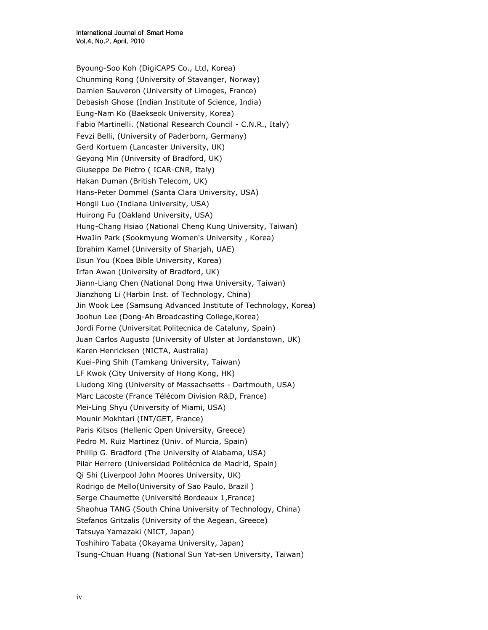Byoung-Soo Koh (DigiCAPS Co., Ltd, Korea) Chunming Rong (University of Stavanger, Norway) Damien Sauveron (University of Limoges, France) Debasish Ghose (Indian Institute of Science, India) Eung-Nam Ko (Baekseok University, Korea) Fabio Martinelli. (National Research Council - C.N.R., Italy) Fevzi Belli, (University of Paderborn, Germany) Gerd Kortuem (Lancaster University, UK) Geyong Min (University of Bradford, UK) Giuseppe De Pietro ( ICAR-CNR, Italy) Hakan Duman (British Telecom, UK) Hans-Peter Dommel (Santa Clara University, USA) Hongli Luo (Indiana University, USA) Huirong Fu (Oakland University, USA) Hung-Chang Hsiao (National Cheng Kung University, Taiwan) HwaJin Park (Sookmyung Women's University , Korea) Ibrahim Kamel (University of Sharjah, UAE) Ilsun You (Koea Bible University, Korea) Irfan Awan (University of Bradford, UK) Jiann-Liang Chen (National Dong Hwa University, Taiwan) Jianzhong Li (Harbin Inst. of Technology, China) Jin Wook Lee (Samsung Advanced Institute of Technology, Korea) Joohun Lee (Dong-Ah Broadcasting College,Korea) Jordi Forne (Universitat Politecnica de Cataluny, Spain) Juan Carlos Augusto (University of Ulster at Jordanstown, UK) Karen Henricksen (NICTA, Australia) Kuei-Ping Shih (Tamkang University, Taiwan) LF Kwok (City University of Hong Kong, HK) Liudong Xing (University of Massachsetts - Dartmouth, USA) Marc Lacoste (France Télécom Division R&D, France) Mei-Ling Shyu (University of Miami, USA) Mounir Mokhtari (INT/GET, France) Paris Kitsos (Hellenic Open University, Greece) Pedro M. Ruiz Martinez (Univ. of Murcia, Spain) Phillip G. Bradford (The University of Alabama, USA) Pilar Herrero (Universidad Politécnica de Madrid, Spain) Qi Shi (Liverpool John Moores University, UK) Rodrigo de Mello(University of Sao Paulo, Brazil ) Serge Chaumette (Université Bordeaux 1,France) Shaohua TANG (South China University of Technology, China) Stefanos Gritzalis (University of the Aegean, Greece) Tatsuya Yamazaki (NICT, Japan) Toshihiro Tabata (Okayama University, Japan) Tsung-Chuan Huang (National Sun Yat-sen University, Taiwan)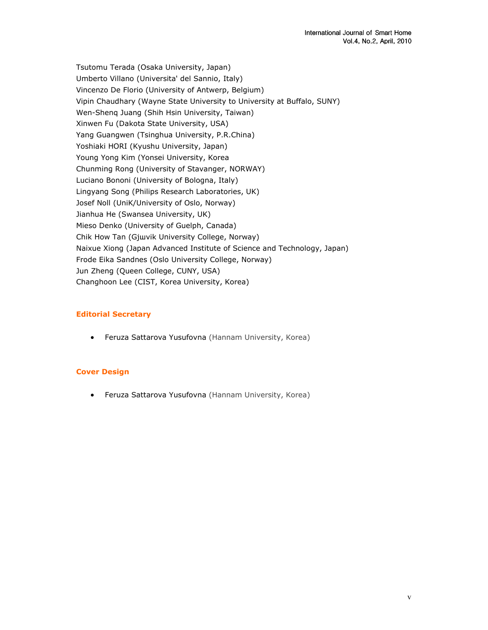Tsutomu Terada (Osaka University, Japan) Umberto Villano (Universita' del Sannio, Italy) Vincenzo De Florio (University of Antwerp, Belgium) Vipin Chaudhary (Wayne State University to University at Buffalo, SUNY) Wen-Shenq Juang (Shih Hsin University, Taiwan) Xinwen Fu (Dakota State University, USA) Yang Guangwen (Tsinghua University, P.R.China) Yoshiaki HORI (Kyushu University, Japan) Young Yong Kim (Yonsei University, Korea Chunming Rong (University of Stavanger, NORWAY) Luciano Bononi (University of Bologna, Italy) Lingyang Song (Philips Research Laboratories, UK) Josef Noll (UniK/University of Oslo, Norway) Jianhua He (Swansea University, UK) Mieso Denko (University of Guelph, Canada) Chik How Tan (Gjшvik University College, Norway) Naixue Xiong (Japan Advanced Institute of Science and Technology, Japan) Frode Eika Sandnes (Oslo University College, Norway) Jun Zheng (Queen College, CUNY, USA) Changhoon Lee (CIST, Korea University, Korea)

# Editorial Secretary

• Feruza Sattarova Yusufovna (Hannam University, Korea)

# Cover Design

• Feruza Sattarova Yusufovna (Hannam University, Korea)